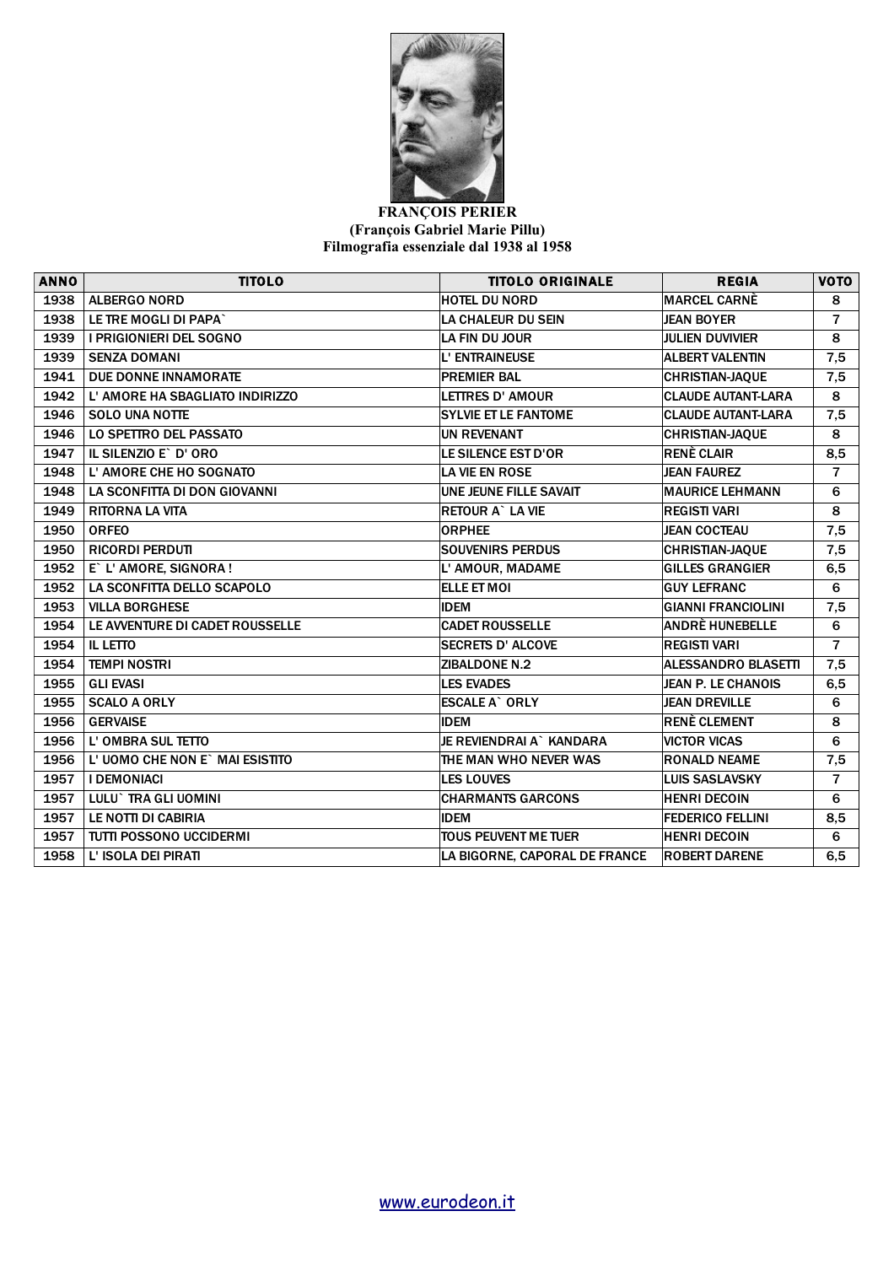

## **FRANÇOIS PERIER (François Gabriel Marie Pillu) Filmografia essenziale dal 1938 al 1958**

| <b>ANNO</b> | <b>TITOLO</b>                   | <b>TITOLO ORIGINALE</b>       | <b>REGIA</b>               | VOTO                    |
|-------------|---------------------------------|-------------------------------|----------------------------|-------------------------|
| 1938        | <b>ALBERGO NORD</b>             | <b>HOTEL DU NORD</b>          | <b>MARCEL CARNÈ</b>        | 8                       |
| 1938        | LE TRE MOGLI DI PAPA`           | <b>LA CHALEUR DU SEIN</b>     | <b>JEAN BOYER</b>          | $\overline{7}$          |
| 1939        | <b>I PRIGIONIERI DEL SOGNO</b>  | LA FIN DU JOUR                | <b>JULIEN DUVIVIER</b>     | 8                       |
| 1939        | <b>SENZA DOMANI</b>             | L' ENTRAINEUSE                | <b>ALBERT VALENTIN</b>     | 7,5                     |
| 1941        | DUE DONNE INNAMORATE            | <b>PREMIER BAL</b>            | <b>CHRISTIAN-JAQUE</b>     | 7,5                     |
| 1942        | L' AMORE HA SBAGLIATO INDIRIZZO | <b>LETTRES D' AMOUR</b>       | <b>CLAUDE AUTANT-LARA</b>  | 8                       |
| 1946        | <b>SOLO UNA NOTTE</b>           | <b>SYLVIE ET LE FANTOME</b>   | <b>CLAUDE AUTANT-LARA</b>  | 7,5                     |
| 1946        | LO SPETTRO DEL PASSATO          | <b>UN REVENANT</b>            | <b>CHRISTIAN-JAQUE</b>     | 8                       |
| 1947        | IL SILENZIO E` D' ORO           | LE SILENCE EST D'OR           | <b>RENÈ CLAIR</b>          | 8,5                     |
| 1948        | L'AMORE CHE HO SOGNATO          | <b>LA VIE EN ROSE</b>         | <b>JEAN FAUREZ</b>         | $\overline{7}$          |
| 1948        | LA SCONFITTA DI DON GIOVANNI    | <b>UNE JEUNE FILLE SAVAIT</b> | <b>MAURICE LEHMANN</b>     | 6                       |
| 1949        | <b>RITORNA LA VITA</b>          | <b>RETOUR A' LA VIE</b>       | <b>REGISTI VARI</b>        | 8                       |
| 1950        | <b>ORFEO</b>                    | <b>ORPHEE</b>                 | <b>JEAN COCTEAU</b>        | 7,5                     |
| 1950        | <b>RICORDI PERDUTI</b>          | <b>SOUVENIRS PERDUS</b>       | <b>CHRISTIAN-JAQUE</b>     | 7,5                     |
| 1952        | E` L' AMORE, SIGNORA !          | L' AMOUR, MADAME              | <b>GILLES GRANGIER</b>     | 6,5                     |
| 1952        | LA SCONFITTA DELLO SCAPOLO      | <b>ELLE ET MOI</b>            | <b>GUY LEFRANC</b>         | 6                       |
| 1953        | <b>VILLA BORGHESE</b>           | <b>IDEM</b>                   | <b>GIANNI FRANCIOLINI</b>  | 7,5                     |
| 1954        | LE AVVENTURE DI CADET ROUSSELLE | <b>CADET ROUSSELLE</b>        | ANDRÈ HUNEBELLE            | 6                       |
| 1954        | <b>IL LETTO</b>                 | <b>SECRETS D' ALCOVE</b>      | <b>REGISTI VARI</b>        | $\overline{7}$          |
| 1954        | <b>TEMPI NOSTRI</b>             | <b>ZIBALDONE N.2</b>          | <b>ALESSANDRO BLASETTI</b> | 7,5                     |
| 1955        | <b>GLI EVASI</b>                | <b>LES EVADES</b>             | JEAN P. LE CHANOIS         | 6,5                     |
| 1955        | <b>SCALO A ORLY</b>             | <b>ESCALE A` ORLY</b>         | <b>JEAN DREVILLE</b>       | 6                       |
| 1956        | <b>GERVAISE</b>                 | <b>IDEM</b>                   | RENÈ CLEMENT               | 8                       |
| 1956        | L' OMBRA SUL TETTO              | JE REVIENDRAI A` KANDARA      | <b>VICTOR VICAS</b>        | 6                       |
| 1956        | L'UOMO CHE NON E` MAI ESISTITO  | THE MAN WHO NEVER WAS         | <b>RONALD NEAME</b>        | 7,5                     |
| 1957        | <b>I DEMONIACI</b>              | <b>LES LOUVES</b>             | <b>LUIS SASLAVSKY</b>      | $\overline{\mathbf{r}}$ |
| 1957        | LULU` TRA GLI UOMINI            | <b>CHARMANTS GARCONS</b>      | <b>HENRI DECOIN</b>        | 6                       |
| 1957        | LE NOTTI DI CABIRIA             | <b>IDEM</b>                   | <b>FEDERICO FELLINI</b>    | 8,5                     |
| 1957        | <b>TUTTI POSSONO UCCIDERMI</b>  | <b>TOUS PEUVENT ME TUER</b>   | <b>HENRI DECOIN</b>        | 6                       |
| 1958        | L' ISOLA DEI PIRATI             | LA BIGORNE, CAPORAL DE FRANCE | <b>ROBERT DARENE</b>       | 6,5                     |